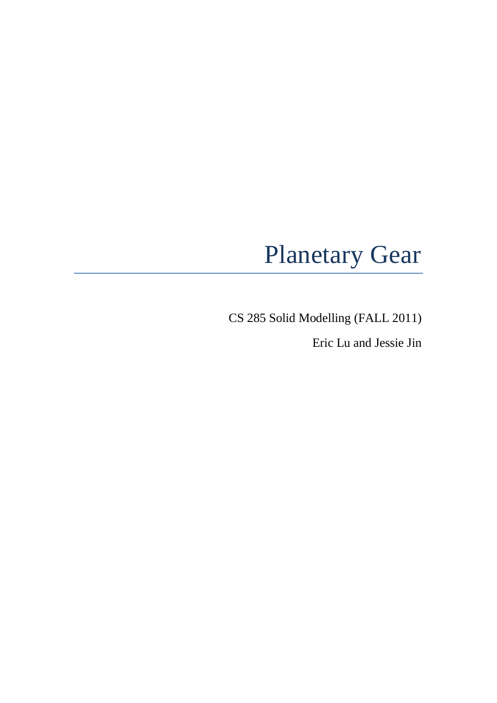# Planetary Gear

CS 285 Solid Modelling (FALL 2011)

Eric Lu and Jessie Jin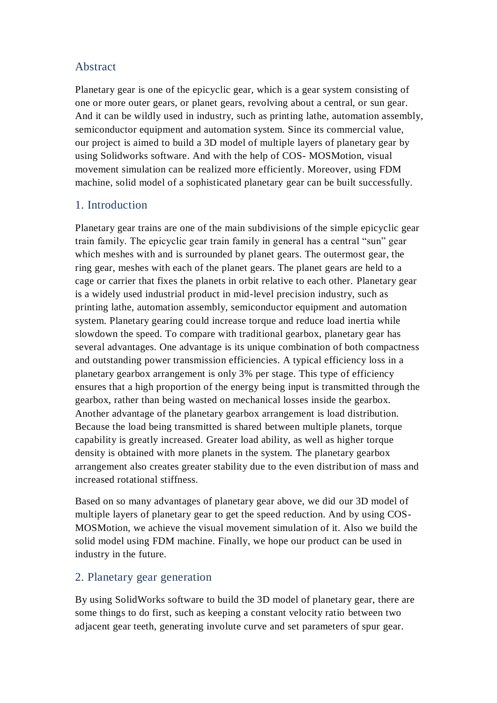#### Abstract

Planetary gear is one of the epicyclic gear, which is a gear system consisting of one or more outer gears, or planet gears, revolving about a central, or sun gear. And it can be wildly used in industry, such as printing lathe, automation assembly, semiconductor equipment and automation system. Since its commercial value, our project is aimed to build a 3D model of multiple layers of planetary gear by using Solidworks software. And with the help of COS- MOSMotion, visual movement simulation can be realized more efficiently. Moreover, using FDM machine, solid model of a sophisticated planetary gear can be built successfully.

### 1. Introduction

Planetary gear trains are one of the main subdivisions of the simple epicyclic gear train family. The epicyclic gear train family in general has a central "sun" gear which meshes with and is surrounded by planet gears. The outermost gear, the ring gear, meshes with each of the planet gears. The planet gears are held to a cage or carrier that fixes the planets in orbit relative to each other. Planetary gear is a widely used industrial product in mid-level precision industry, such as printing lathe, automation assembly, semiconductor equipment and automation system. Planetary gearing could increase torque and reduce load inertia while slowdown the speed. To compare with traditional gearbox, planetary gear has several advantages. One advantage is its unique combination of both compactness and outstanding power transmission efficiencies. A typical efficiency loss in a planetary gearbox arrangement is only 3% per stage. This type of efficiency ensures that a high proportion of the energy being input is transmitted through the gearbox, rather than being wasted on mechanical losses inside the gearbox. Another advantage of the planetary gearbox arrangement is load distribution. Because the load being transmitted is shared between multiple planets, torque capability is greatly increased. Greater load ability, as well as higher torque density is obtained with more planets in the system. The planetary gearbox arrangement also creates greater stability due to the even distribution of mass and increased rotational stiffness.

Based on so many advantages of planetary gear above, we did our 3D model of multiple layers of planetary gear to get the speed reduction. And by using COS-MOSMotion, we achieve the visual movement simulation of it. Also we build the solid model using FDM machine. Finally, we hope our product can be used in industry in the future.

#### 2. Planetary gear generation

By using SolidWorks software to build the 3D model of planetary gear, there are some things to do first, such as keeping a constant velocity ratio between two adjacent gear teeth, generating involute curve and set parameters of spur gear.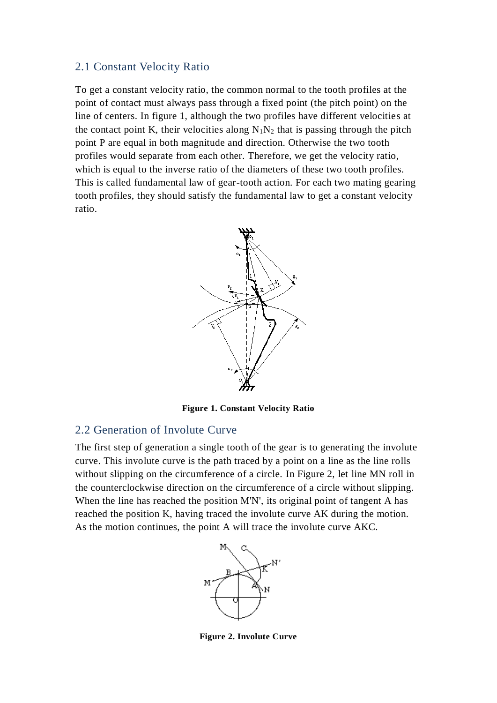#### 2.1 Constant Velocity Ratio

To get a constant velocity ratio, the common normal to the tooth profiles at the point of contact must always pass through a fixed point (the pitch point) on the line of centers. In figure 1, although the two profiles have different velocities at the contact point K, their velocities along  $N_1N_2$  that is passing through the pitch point P are equal in both magnitude and direction. Otherwise the two tooth profiles would separate from each other. Therefore, we get the velocity ratio, which is equal to the inverse ratio of the diameters of these two tooth profiles. This is called fundamental law of gear-tooth action. For each two mating gearing tooth profiles, they should satisfy the fundamental law to get a constant velocity ratio.



**Figure 1. Constant Velocity Ratio**

#### 2.2 Generation of Involute Curve

The first step of generation a single tooth of the gear is to generating the involute curve. This involute curve is the path traced by a point on a line as the line rolls without slipping on the circumference of a circle. In Figure 2, let line MN roll in the counterclockwise direction on the circumference of a circle without slipping. When the line has reached the position M'N', its original point of tangent A has reached the position K, having traced the involute curve AK during the motion. As the motion continues, the point A will trace the involute curve AKC.



**Figure 2. Involute Curve**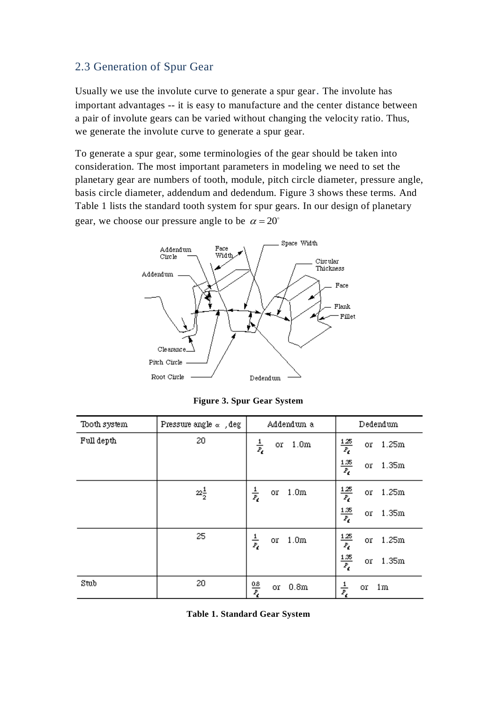#### 2.3 Generation of Spur Gear

Usually we use the involute curve to generate a spur gear. The involute has important advantages -- it is easy to manufacture and the center distance between a pair of involute gears can be varied without changing the velocity ratio. Thus, we generate the involute curve to generate a spur gear.

To generate a spur gear, some terminologies of the gear should be taken into consideration. The most important parameters in modeling we need to set the planetary gear are numbers of tooth, module, pitch circle diameter, pressure angle, basis circle diameter, addendum and dedendum. Figure 3 shows these terms. And Table 1 lists the standard tooth system for spur gears. In our design of planetary gear, we choose our pressure angle to be  $\alpha = 20^{\circ}$ 



**Figure 3. Spur Gear System**

| Tooth system | Pressure angle $\alpha$ , deg  | Addendum a                                      | Dedendum                                                          |
|--------------|--------------------------------|-------------------------------------------------|-------------------------------------------------------------------|
| Full depth   | 20                             | $\frac{1}{\bar{z}_t}$<br>1.0 <sub>m</sub><br>or | $\frac{125}{P_6}$<br>1.25m<br>or                                  |
|              |                                |                                                 | $\frac{1.35}{P_{\ell}}$<br>1.35m<br>or                            |
|              | $\mathbb{Z}_{\frac{1}{2}}^{1}$ | $\frac{1}{\bar{z}_t}$<br>1.0 <sub>m</sub><br>or | $\frac{125}{P_6}$<br>1.25m<br>or                                  |
|              |                                |                                                 | $\frac{1.35}{P_4}$<br>1.35m<br>or                                 |
|              | 25                             | $\frac{1}{\bar{z}_t}$<br>1.0 <sub>m</sub><br>or | $\frac{1.25}{P_{\ell}}$<br>$\frac{1.35}{P_{\ell}}$<br>1.25m<br>or |
|              |                                |                                                 | 1.35m<br>or.                                                      |
| Stub         | 20                             | $\frac{0.8}{P_c}$<br>0.8m<br>or                 | $\frac{1}{\bar{z}_\ell}$<br>1m<br>or                              |

**Table 1. Standard Gear System**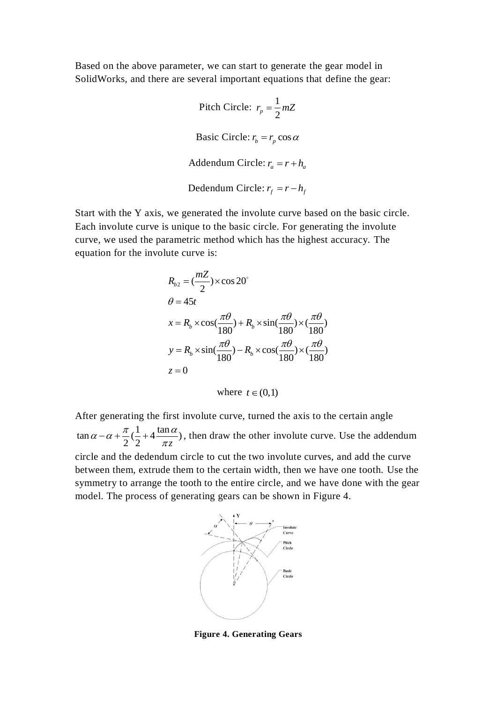Based on the above parameter, we can start to generate the gear model in SolidWorks, and there are several important equations that define the gear:

> Pitch Circle:  $r_n = \frac{1}{2}$  $r_p = \frac{1}{2} mZ$ Basic Circle:  $r_b = r_p \cos \alpha$ Addendum Circle:  $r_a = r + h_a$ Dedendum Circle:  $r_f = r - h_f$

Start with the Y axis, we generated the involute curve based on the basic circle. Each involute curve is unique to the basic circle. For generating the involute curve, we used the parametric method which has the highest accuracy. The equation for the involute curve is:

$$
R_{b2} = \left(\frac{mZ}{2}\right) \times \cos 20^{\circ}
$$
  
\n
$$
\theta = 45t
$$
  
\n
$$
x = R_b \times \cos\left(\frac{\pi\theta}{180}\right) + R_b \times \sin\left(\frac{\pi\theta}{180}\right) \times \left(\frac{\pi\theta}{180}\right)
$$
  
\n
$$
y = R_b \times \sin\left(\frac{\pi\theta}{180}\right) - R_b \times \cos\left(\frac{\pi\theta}{180}\right) \times \left(\frac{\pi\theta}{180}\right)
$$
  
\n
$$
z = 0
$$

where  $t \in (0,1)$ 

After generating the first involute curve, turned the axis to the certain angle  $\tan \alpha - \alpha + \frac{\pi}{2}(\frac{1}{2} + 4 \frac{\tan \alpha}{2})$  $\frac{\pi}{2}(\frac{1}{2}+4\frac{\pi}{\pi z})$  $\alpha - \alpha + \frac{\pi}{2}(\frac{1}{2} + 4\frac{\tan\alpha}{\pi z})$ , then draw the other involute curve. Use the addendum circle and the dedendum circle to cut the two involute curves, and add the curve between them, extrude them to the certain width, then we have one tooth. Use the symmetry to arrange the tooth to the entire circle, and we have done with the gear model. The process of generating gears can be shown in Figure 4.



**Figure 4. Generating Gears**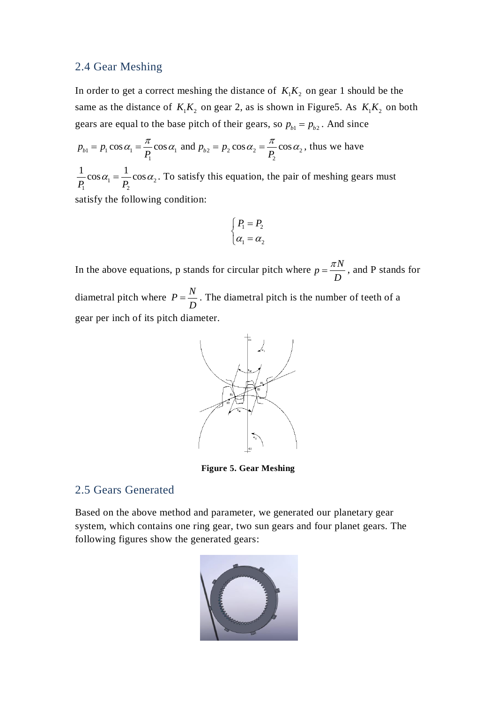#### 2.4 Gear Meshing

In order to get a correct meshing the distance of  $K_1K_2$  on gear 1 should be the same as the distance of  $K_1K_2$  on gear 2, as is shown in Figure5. As  $K_1K_2$  on both gears are equal to the base pitch of their gears, so  $p_{b1} = p_{b2}$ . And since

$$
p_{b1} = p_1 \cos \alpha_1 = \frac{\pi}{P_1} \cos \alpha_1 \text{ and } p_{b2} = p_2 \cos \alpha_2 = \frac{\pi}{P_2} \cos \alpha_2 \text{, thus we have}
$$

 $a_1 = \frac{1}{R} \cos \alpha_2$  $\overline{P}_1$   $P_2$  $\frac{1}{2}$  cos  $\alpha_1 = \frac{1}{2}$  cos  $\overline{P_1}^{\cos \alpha_1} = \overline{P_2}$  $\alpha_1 = \frac{1}{R} \cos \alpha_2$ . To satisfy this equation, the pair of meshing gears must satisfy the following condition:

$$
\begin{cases}\nP_1 = P_2 \\
\alpha_1 = \alpha_2\n\end{cases}
$$

In the above equations, p stands for circular pitch where  $p = \frac{\pi N}{\sqrt{N}}$ *D*  $=\frac{\pi N}{R}$ , and P stands for diametral pitch where  $P = \frac{N}{R}$ *D*  $=\frac{1}{b}$ . The diametral pitch is the number of teeth of a gear per inch of its pitch diameter.



**Figure 5. Gear Meshing**

#### 2.5 Gears Generated

Based on the above method and parameter, we generated our planetary gear system, which contains one ring gear, two sun gears and four planet gears. The following figures show the generated gears:

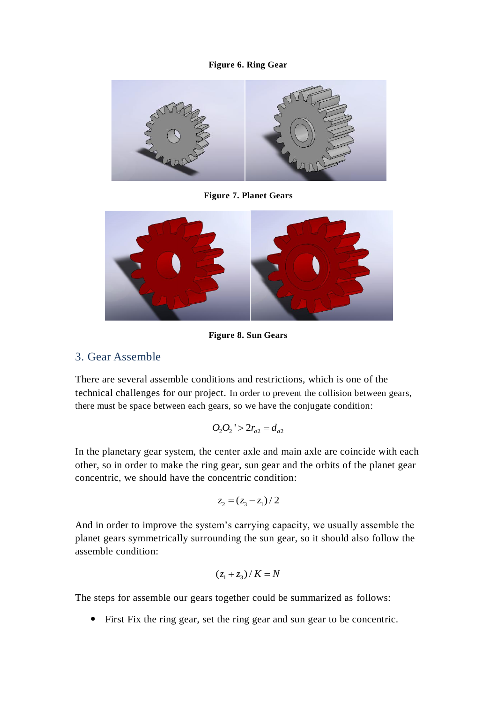#### **Figure 6. Ring Gear**



**Figure 7. Planet Gears**



**Figure 8. Sun Gears**

#### 3. Gear Assemble

There are several assemble conditions and restrictions, which is one of the technical challenges for our project. In order to prevent the collision between gears, there must be space between each gears, so we have the conjugate condition:

$$
O_2O_2' > 2r_{a2} = d_{a2}
$$

In the planetary gear system, the center axle and main axle are coincide with each other, so in order to make the ring gear, sun gear and the orbits of the planet gear concentric, we should have the concentric condition:

$$
z_2 = (z_3 - z_1) / 2
$$

And in order to improve the system's carrying capacity, we usually assemble the planet gears symmetrically surrounding the sun gear, so it should also follow the assemble condition:

$$
(z_1 + z_3) / K = N
$$

The steps for assemble our gears together could be summarized as follows:

First Fix the ring gear, set the ring gear and sun gear to be concentric.